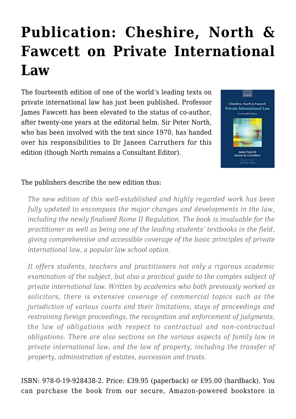## **[Publication: Cheshire, North &](https://conflictoflaws.net/2008/publication-cheshire-north-fawcett-on-private-international-law/) [Fawcett on Private International](https://conflictoflaws.net/2008/publication-cheshire-north-fawcett-on-private-international-law/) [Law](https://conflictoflaws.net/2008/publication-cheshire-north-fawcett-on-private-international-law/)**

The fourteenth edition of one of the world's leading texts on private international law has just been published. [Professor](http://www.nottingham.ac.uk/law2/staff/james.fawcett) [James Fawcett](http://www.nottingham.ac.uk/law2/staff/james.fawcett) has been elevated to the status of co-author, after twenty-one years at the editorial helm. [Sir Peter North](http://en.wikipedia.org/wiki/The_North_Report), who has been involved with the text since 1970, has handed over his responsibilities to [Dr Janeen Carruthers](http://www.gla.ac.uk/departments/schooloflaw/staff/academic/carruthersj/) for this edition (though North remains a Consultant Editor).



## The [publishers](http://www.oup.com/uk/catalogue/?ci=9780199284382&view=lawview) describe the new edition thus:

*The new edition of this well-established and highly regarded work has been fully updated to encompass the major changes and developments in the law, including the newly finalised Rome II Regulation. The book is invaluable for the practitioner as well as being one of the leading students' textbooks in the field, giving comprehensive and accessible coverage of the basic principles of private international law, a popular law school option.*

*It offers students, teachers and practitioners not only a rigorous academic examination of the subject, but also a practical guide to the complex subject of private international law. Written by academics who both previously worked as solicitors, there is extensive coverage of commercial topics such as the jurisdiction of various courts and their limitations, stays of proceedings and restraining foreign proceedings, the recognition and enforcement of judgments, the law of obligations with respect to contractual and non-contractual obligations. There are also sections on the various aspects of family law in private international law, and the law of property, including the transfer of property, administration of estates, succession and trusts.*

ISBN: 978-0-19-928438-2. Price: £39.95 (paperback) or £95.00 (hardback). You can purchase the book from our secure, Amazon-powered bookstore in